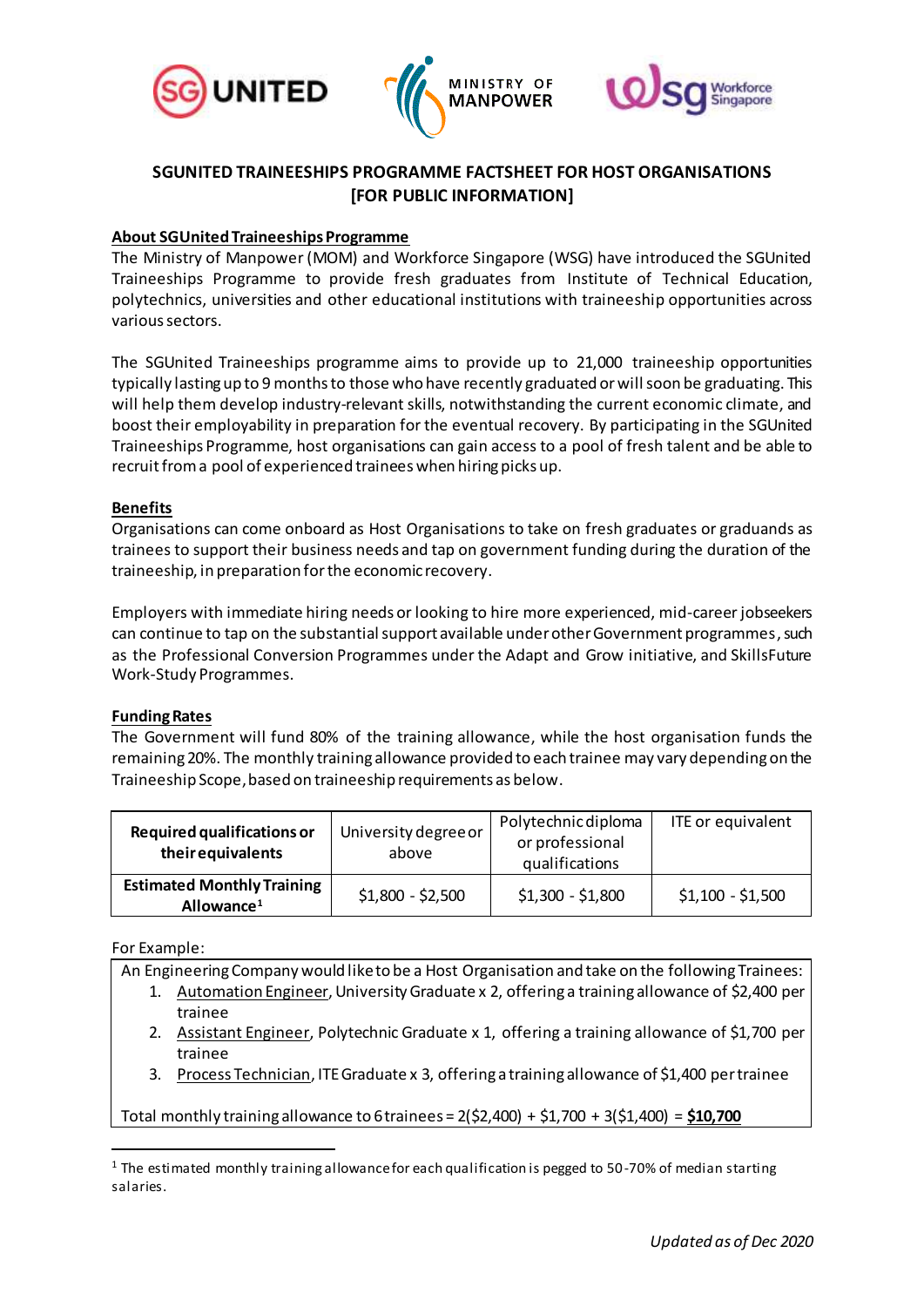





# **SGUNITED TRAINEESHIPS PROGRAMME FACTSHEET FOR HOST ORGANISATIONS [FOR PUBLIC INFORMATION]**

## **About SGUnited Traineeships Programme**

The Ministry of Manpower (MOM) and Workforce Singapore (WSG) have introduced the SGUnited Traineeships Programme to provide fresh graduates from Institute of Technical Education, polytechnics, universities and other educational institutions with traineeship opportunities across various sectors.

The SGUnited Traineeships programme aims to provide up to 21,000 traineeship opportunities typically lasting up to 9 months to those who have recently graduated or will soon be graduating. This will help them develop industry-relevant skills, notwithstanding the current economic climate, and boost their employability in preparation for the eventual recovery. By participating in the SGUnited Traineeships Programme, host organisations can gain access to a pool of fresh talent and be able to recruit from a pool of experienced trainees when hiring picks up.

## **Benefits**

Organisations can come onboard as Host Organisations to take on fresh graduates or graduands as trainees to support their business needs and tap on government funding during the duration of the traineeship, in preparation for the economic recovery.

Employers with immediate hiring needs or looking to hire more experienced, mid-career jobseekers can continue to tap on the substantial support available under other Government programmes, such as the Professional Conversion Programmes under the Adapt and Grow initiative, and SkillsFuture Work-Study Programmes.

#### **Funding Rates**

The Government will fund 80% of the training allowance, while the host organisation funds the remaining 20%. The monthly training allowance provided to each trainee may vary depending on the Traineeship Scope,based on traineeship requirements as below.

| <b>Required qualifications or</b><br>their equivalents      | University degree or<br>above | Polytechnic diploma<br>or professional<br>qualifications | ITE or equivalent |
|-------------------------------------------------------------|-------------------------------|----------------------------------------------------------|-------------------|
| <b>Estimated Monthly Training</b><br>Allowance <sup>1</sup> | $$1,800 - $2,500$             | $$1,300 - $1,800$                                        | $$1,100 - $1,500$ |

For Example:

 $\overline{a}$ 

An Engineering Company would like to be a Host Organisation and take on the following Trainees:

- 1. Automation Engineer, UniversityGraduate x 2, offering a training allowance of \$2,400 per trainee
- 2. Assistant Engineer, Polytechnic Graduate x 1, offering a training allowance of \$1,700 per trainee
- 3. Process Technician, ITE Graduate x 3, offering a training allowance of \$1,400 per trainee

Total monthly training allowance to 6 trainees = 2(\$2,400) + \$1,700 + 3(\$1,400) = **\$10,700**

<sup>&</sup>lt;sup>1</sup> The estimated monthly training allowance for each qualification is pegged to 50-70% of median starting salaries.